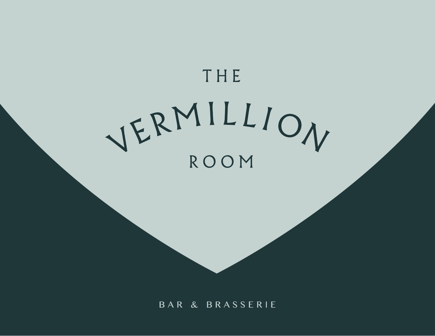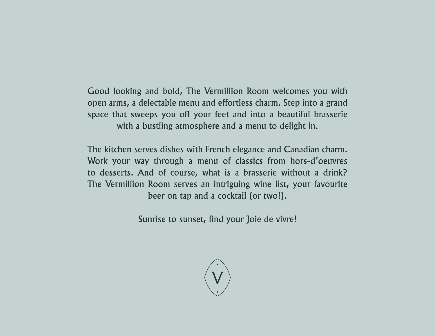Good looking and bold, The Vermillion Room welcomes you with open arms, a delectable menu and effortless charm. Step into a grand space that sweeps you off your feet and into a beautiful brasserie with a bustling atmosphere and a menu to delight in.

The kitchen serves dishes with French elegance and Canadian charm. Work your way through a menu of classics from hors-d'oeuvres to desserts. And of course, what is a brasserie without a drink? The Vermillion Room serves an intriguing wine list, your favourite beer on tap and a cocktail (or two!).

Sunrise to sunset, find your Joie de vivre!

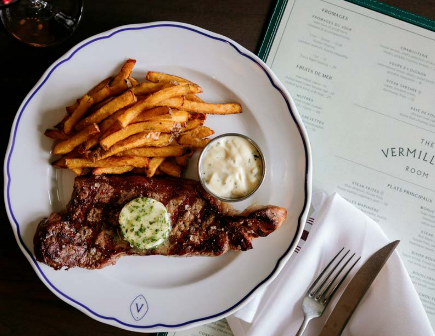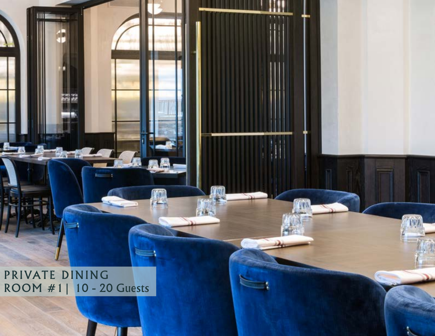#### PRIVATE DINING ROOM #1| 10 - 20 Guests

W

4575

ШĪ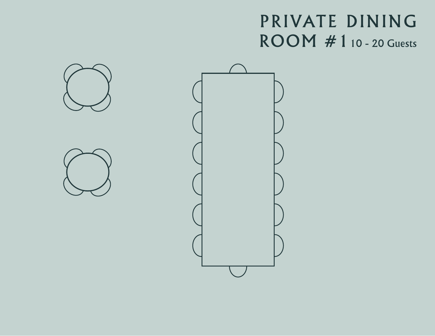## PRIVATE DINING ROOM #110 - 20 Guests





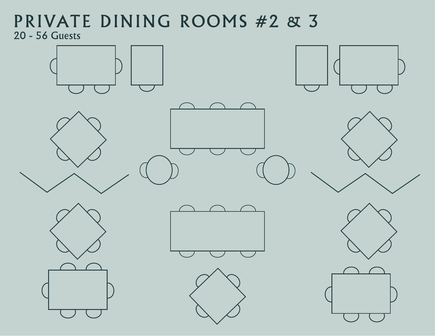#### PRIVATE DINING ROOMS #2 & 3 20 - 56 Guests

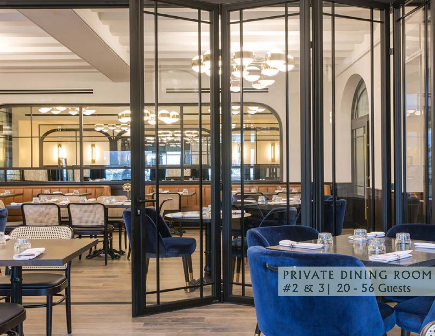PRIVATE DINING ROOM #2 & 3| 20 - 56 Guests

ų

щń,

Ļ

T.

' '

m.

31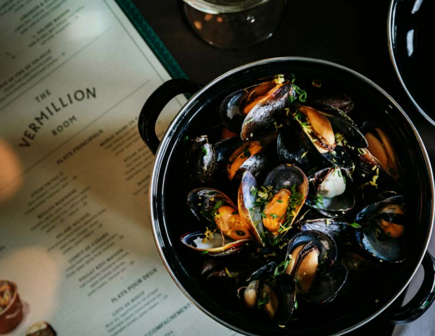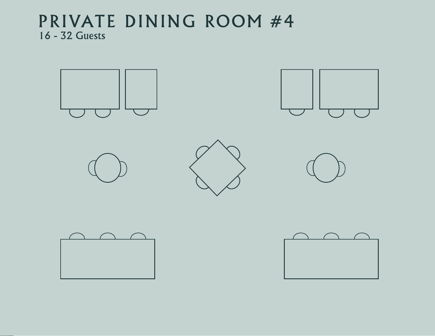### PRIVATE DINING ROOM #4 16 - 32 Guests

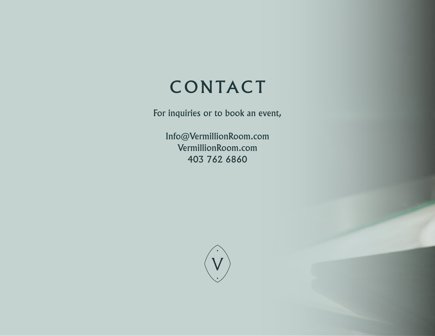# CONTACT

For inquiries or to book an event,

[Info@VermillionRoom.com](mailto:Info%40VermillionRoom.com?subject=Private%20Booking%20Inquiry) [VermillionRoom.com](http://www.VermillionRoom.com) 403 762 6860

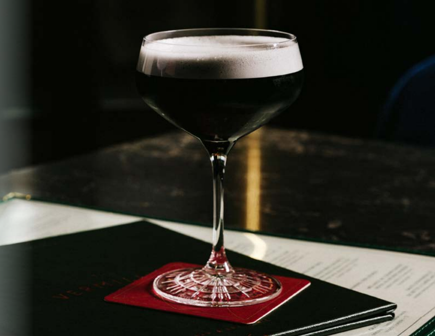